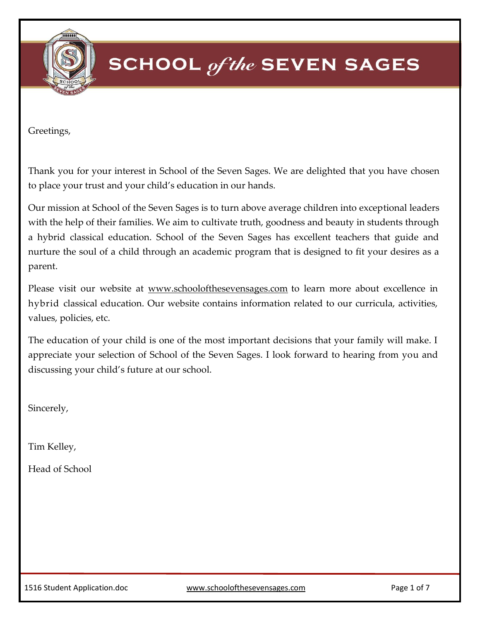

Greetings,

Thank you for your interest in School of the Seven Sages. We are delighted that you have chosen to place your trust and your child's education in our hands.

Our mission at School of the Seven Sages is to turn above average children into exceptional leaders with the help of their families. We aim to cultivate truth, goodness and beauty in students through a hybrid classical education. School of the Seven Sages has excellent teachers that guide and nurture the soul of a child through an academic program that is designed to fit your desires as a parent.

Please visit our website at [www.schoolofthesevensages.com](http://www.schoolofthesevensages.com/) to learn more about excellence in hybrid classical education. Our website contains information related to our curricula, activities, values, policies, etc.

The education of your child is one of the most important decisions that your family will make. I appreciate your selection of School of the Seven Sages. I look forward to hearing from you and discussing your child's future at our school.

Sincerely,

Tim Kelley,

Head of School

1516 Student Application.doc [www.schoolofthesevensages.com](http://www.schoolofthesevensages.com/) Page 1 of 7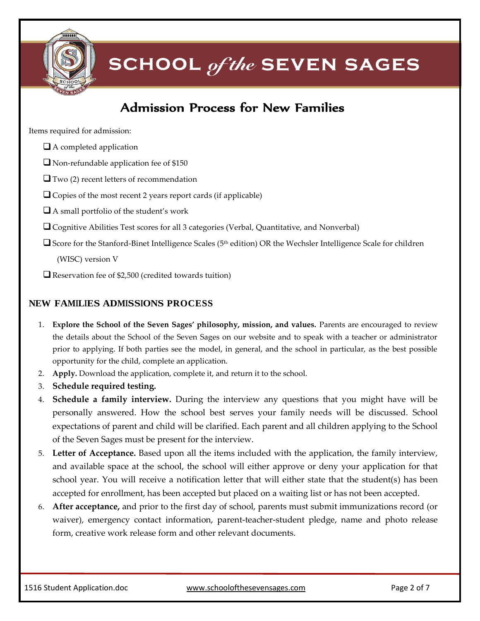

### Admission Process for New Families

Items required for admission:

- $\Box$  A completed application
- Non-refundable application fee of \$150
- $\Box$  Two (2) recent letters of recommendation
- $\Box$  Copies of the most recent 2 years report cards (if applicable)
- $\Box$  A small portfolio of the student's work
- Cognitive Abilities Test scores for all 3 categories (Verbal, Quantitative, and Nonverbal)
- □ Score for the Stanford-Binet Intelligence Scales (5<sup>th</sup> edition) OR the Wechsler Intelligence Scale for children

(WISC) version V

 $\Box$  Reservation fee of \$2,500 (credited towards tuition)

#### **NEW FAMILIES ADMISSIONS PROCESS**

- 1. **Explore the School of the Seven Sages' philosophy, mission, and values.** Parents are encouraged to review the details about the School of the Seven Sages on our website and to speak with a teacher or administrator prior to applying. If both parties see the model, in general, and the school in particular, as the best possible opportunity for the child, complete an application.
- 2. **Apply.** Download the application, complete it, and return it to the school.
- 3. **Schedule required testing.**
- 4. **Schedule a family interview.** During the interview any questions that you might have will be personally answered. How the school best serves your family needs will be discussed. School expectations of parent and child will be clarified. Each parent and all children applying to the School of the Seven Sages must be present for the interview.
- 5. **Letter of Acceptance.** Based upon all the items included with the application, the family interview, and available space at the school, the school will either approve or deny your application for that school year. You will receive a notification letter that will either state that the student(s) has been accepted for enrollment, has been accepted but placed on a waiting list or has not been accepted.
- 6. **After acceptance,** and prior to the first day of school, parents must submit immunizations record (or waiver), emergency contact information, parent-teacher-student pledge, name and photo release form, creative work release form and other relevant documents.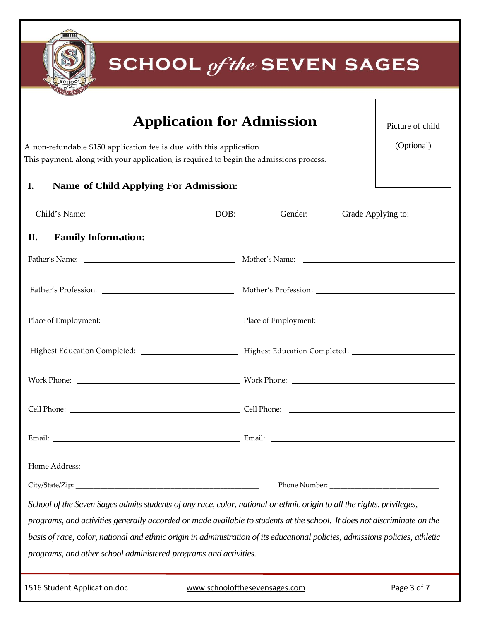

### **Application for Admission**

Picture of child

A non-refundable \$150 application fee is due with this application. This payment, along with your application, is required to begin the admissions process.

(Optional)

#### **I. Name of Child Applying For Admission:**

| Child's Name: |                                                                                                                               | DOB: | Gender:                       | Grade Applying to: |  |
|---------------|-------------------------------------------------------------------------------------------------------------------------------|------|-------------------------------|--------------------|--|
| П.            | <b>Family Information:</b>                                                                                                    |      |                               |                    |  |
|               |                                                                                                                               |      |                               |                    |  |
|               | Father's Profession: Mother's Profession: Mother's Profession:                                                                |      |                               |                    |  |
|               |                                                                                                                               |      |                               |                    |  |
|               |                                                                                                                               |      |                               |                    |  |
|               |                                                                                                                               |      |                               |                    |  |
|               |                                                                                                                               |      |                               |                    |  |
|               |                                                                                                                               |      |                               |                    |  |
|               |                                                                                                                               |      |                               |                    |  |
|               |                                                                                                                               |      |                               |                    |  |
|               | School of the Seven Sages admits students of any race, color, national or ethnic origin to all the rights, privileges,        |      |                               |                    |  |
|               | programs, and activities generally accorded or made available to students at the school. It does not discriminate on the      |      |                               |                    |  |
|               | basis of race, color, national and ethnic origin in administration of its educational policies, admissions policies, athletic |      |                               |                    |  |
|               | programs, and other school administered programs and activities.                                                              |      |                               |                    |  |
|               | 1516 Student Application.doc                                                                                                  |      | www.schoolofthesevensages.com | Page 3 of 7        |  |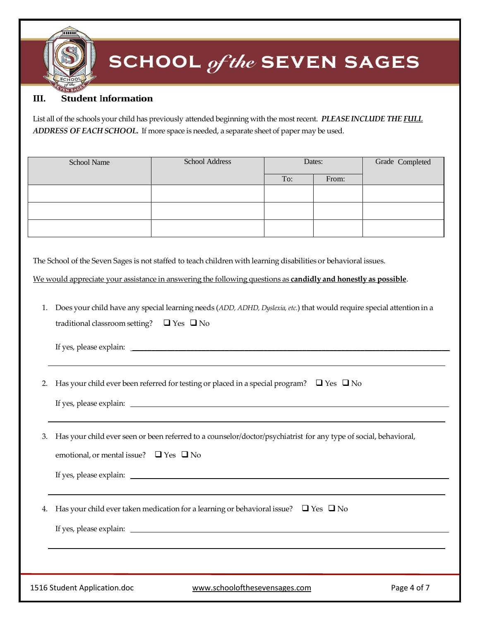#### **III. Student Information**

List all of the schools your child has previously attended beginning with the mostrecent. *PLEASE INCLUDE THE FULL ADDRESS OF EACH SCHOOL.* If more space is needed, a separate sheet of paper may be used.

| School Name | School Address | Dates: |       | Grade Completed |
|-------------|----------------|--------|-------|-----------------|
|             |                | To:    | From: |                 |
|             |                |        |       |                 |
|             |                |        |       |                 |
|             |                |        |       |                 |

The School of the Seven Sages is not staffed to teach children with learning disabilities or behavioral issues.

We would appreciate your assistance in answering the following questions as **candidly and honestly as possible**.

1. Does your child have any special learning needs (*ADD, ADHD, Dyslexia, etc.*) that would require special attention in a traditional classroom setting?  $\Box$  Yes  $\Box$  No

If yes, please explain: \_\_\_\_\_\_\_\_\_\_\_\_\_\_\_\_\_\_\_\_\_\_\_\_\_\_\_\_\_\_\_\_\_\_\_\_\_\_\_\_\_\_\_\_\_\_\_\_\_\_\_\_\_\_\_\_\_\_\_\_\_\_\_\_\_\_\_\_\_\_\_\_\_\_\_\_\_\_\_\_\_\_

2. Has your child ever been referred for testing or placed in a special program?  $\Box$  Yes  $\Box$  No

If yes, please explain:

3. Has your child ever seen or been referred to a counselor/doctor/psychiatrist for any type of social, behavioral,

emotional, or mental issue?  $\Box$  Yes  $\Box$  No

If yes, please explain:

4. Has your child ever taken medication for a learning or behavioral issue?  $\Box$  Yes  $\Box$  No

If yes, please explain:

1516 Student Application.doc [www.schoolofthesevensages.com](http://www.schoolofthesevensages.com/) Page 4 of 7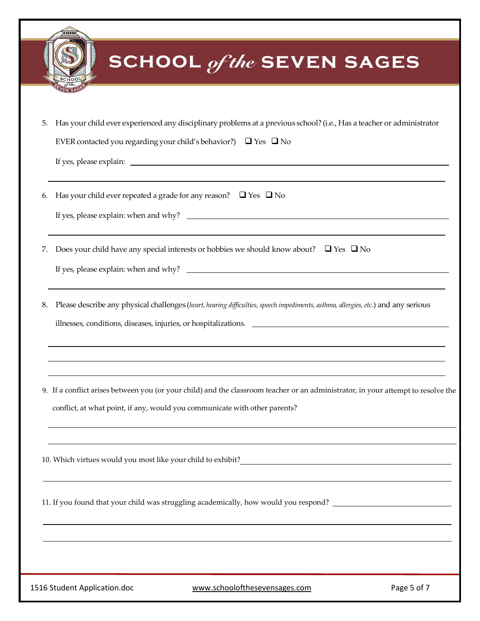|    | <br><b>SCHOOL</b> of the SEVEN SAGES                                                                                                                                                                                                   |
|----|----------------------------------------------------------------------------------------------------------------------------------------------------------------------------------------------------------------------------------------|
|    |                                                                                                                                                                                                                                        |
| 5. | Has your child ever experienced any disciplinary problems at a previous school? (i.e., Has a teacher or administrator<br>EVER contacted you regarding your child's behavior?) $\Box$ Yes $\Box$ No                                     |
| 6. | Has your child ever repeated a grade for any reason? $\Box$ Yes $\Box$ No                                                                                                                                                              |
| 7. | Does your child have any special interests or hobbies we should know about? $\Box$ Yes $\Box$ No                                                                                                                                       |
| 8. | Please describe any physical challenges (heart, hearing difficulties, speech impediments, asthma, allergies, etc.) and any serious<br>illnesses, conditions, diseases, injuries, or hospitalizations.                                  |
|    | 9. If a conflict arises between you (or your child) and the classroom teacher or an administrator, in your attempt to resolve the<br>conflict, at what point, if any, would you communicate with other parents?                        |
|    | 10. Which virtues would you most like your child to exhibit?<br><u>Letting and the contract of the set of the set of the set of the set of the set of the set of the set of the set of the set of the set of the set of the set of</u> |
|    | 11. If you found that your child was struggling academically, how would you respond? _________________________                                                                                                                         |
|    |                                                                                                                                                                                                                                        |
|    | 1516 Student Application.doc<br>www.schoolofthesevensages.com<br>Page 5 of 7                                                                                                                                                           |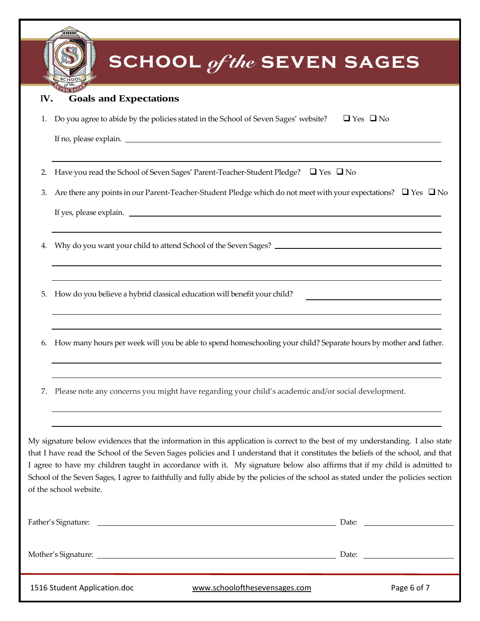|     | <b>SCHOOL</b> of the SEVEN SAGES                                                                                                                                                                                                                                                                                                                                                                                                                                                                                                                                 |  |
|-----|------------------------------------------------------------------------------------------------------------------------------------------------------------------------------------------------------------------------------------------------------------------------------------------------------------------------------------------------------------------------------------------------------------------------------------------------------------------------------------------------------------------------------------------------------------------|--|
| IV. | <b>Goals and Expectations</b>                                                                                                                                                                                                                                                                                                                                                                                                                                                                                                                                    |  |
|     | Do you agree to abide by the policies stated in the School of Seven Sages' website?<br>$\Box$ Yes $\Box$ No                                                                                                                                                                                                                                                                                                                                                                                                                                                      |  |
| 2.  | Have you read the School of Seven Sages' Parent-Teacher-Student Pledge? □ Yes □ No                                                                                                                                                                                                                                                                                                                                                                                                                                                                               |  |
| 3.  | Are there any points in our Parent-Teacher-Student Pledge which do not meet with your expectations? $\Box$ Yes $\Box$ No                                                                                                                                                                                                                                                                                                                                                                                                                                         |  |
| 4.  |                                                                                                                                                                                                                                                                                                                                                                                                                                                                                                                                                                  |  |
| 5.  | How do you believe a hybrid classical education will benefit your child?                                                                                                                                                                                                                                                                                                                                                                                                                                                                                         |  |
|     | How many hours per week will you be able to spend homeschooling your child? Separate hours by mother and father.                                                                                                                                                                                                                                                                                                                                                                                                                                                 |  |
| 7.  | Please note any concerns you might have regarding your child's academic and/or social development.                                                                                                                                                                                                                                                                                                                                                                                                                                                               |  |
|     | My signature below evidences that the information in this application is correct to the best of my understanding. I also state<br>that I have read the School of the Seven Sages policies and I understand that it constitutes the beliefs of the school, and that<br>I agree to have my children taught in accordance with it. My signature below also affirms that if my child is admitted to<br>School of the Seven Sages, I agree to faithfully and fully abide by the policies of the school as stated under the policies section<br>of the school website. |  |
|     |                                                                                                                                                                                                                                                                                                                                                                                                                                                                                                                                                                  |  |
|     | Date: the contract of the contract of the contract of the contract of the contract of the contract of the contract of the contract of the contract of the contract of the contract of the contract of the contract of the cont                                                                                                                                                                                                                                                                                                                                   |  |

|  |  | 1516 Student Application.doc |  |
|--|--|------------------------------|--|
|--|--|------------------------------|--|

[www.schoolofthesevensages.com](http://www.schoolofthesevensages.com/) Page 6 of 7